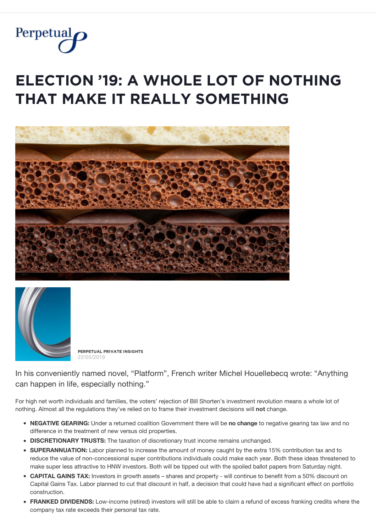

# **ELECTION '19: A WHOLE LOT OF NOTHING**  $THAT$  MAKE IT REALLY SOMETHING





**PĚŘPĚȚŲǺĿ PŘİVǺȚĚ İŇȘİĢĦȚȘ** 22/05/2019

In his conveniently named novel, "Platform", French writer Michel Houellebecq wrote: "Anything can happen in life, especially nothing."

For high net worth individuals and families, the voters' rejection of Bill Shorten's investment revolution means a whole lot of nothing. Almost all the regulations they've relied on to frame their investment decisions will **not** change.

- **NEGATIVE GEARING:** Under a returned coalition Government there will be **no change** to negative gearing tax law and no difference in the treatment of new versus old properties.
- **DISCRETIONARY TRUSTS:** The taxation of discretionary trust income remains unchanged.
- **SUPERANNUATION:** Labor planned to increase the amount of money caught by the extra 15% contribution tax and to reduce the value of non-concessional super contributions individuals could make each year. Both these ideas threatened to make super less attractive to HNW investors. Both will be tipped out with the spoiled ballot papers from Saturday night.
- **CAPITAL GAINS TAX:** Investors in growth assets shares and property will continue to benefit from a 50% discount on Capital Gains Tax. Labor planned to cut that discount in half, a decision that could have had a significant effect on portfolio construction.
- **FRANKED DIVIDENDS:** Low-income (retired) investors will still be able to claim a refund of excess franking credits where the company tax rate exceeds their personal tax rate.